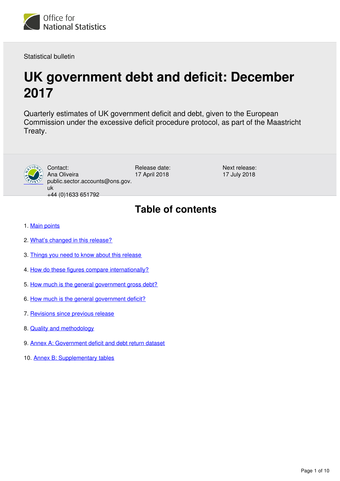

Statistical bulletin

# **UK government debt and deficit: December 2017**

Quarterly estimates of UK government deficit and debt, given to the European Commission under the excessive deficit procedure protocol, as part of the Maastricht Treaty.



uk +44 (0)1633 651792

Contact: Ana Oliveira Release date: 17 April 2018

Next release: 17 July 2018

## **Table of contents**

- 1. [Main points](#page-1-0)
- 2. [What's changed in this release?](#page-1-1)
- 3. [Things you need to know about this release](#page-2-0)
- 4. [How do these figures compare internationally?](#page-3-0)
- 5. [How much is the general government gross debt?](#page-4-0)
- 6. [How much is the general government deficit?](#page-5-0)
- 7. [Revisions since previous release](#page-7-0)
- 8. [Quality and methodology](#page-7-1)
- 9. [Annex A: Government deficit and debt return dataset](#page-8-0)
- 10. [Annex B: Supplementary tables](#page-8-1)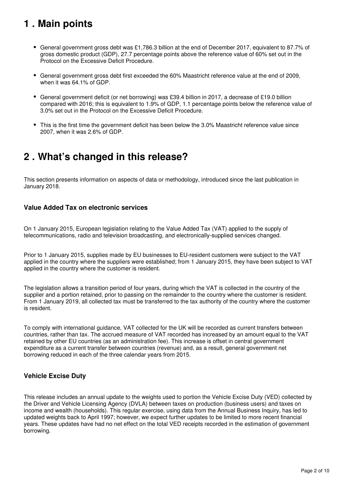## <span id="page-1-0"></span>**1 . Main points**

- General government gross debt was £1,786.3 billion at the end of December 2017, equivalent to 87.7% of gross domestic product (GDP), 27.7 percentage points above the reference value of 60% set out in the Protocol on the Excessive Deficit Procedure.
- General government gross debt first exceeded the 60% Maastricht reference value at the end of 2009, when it was 64.1% of GDP.
- General government deficit (or net borrowing) was £39.4 billion in 2017, a decrease of £19.0 billion compared with 2016; this is equivalent to 1.9% of GDP, 1.1 percentage points below the reference value of 3.0% set out in the Protocol on the Excessive Deficit Procedure.
- This is the first time the government deficit has been below the 3.0% Maastricht reference value since 2007, when it was 2.6% of GDP.

## <span id="page-1-1"></span>**2 . What's changed in this release?**

This section presents information on aspects of data or methodology, introduced since the last publication in January 2018.

### **Value Added Tax on electronic services**

On 1 January 2015, European legislation relating to the Value Added Tax (VAT) applied to the supply of telecommunications, radio and television broadcasting, and electronically-supplied services changed.

Prior to 1 January 2015, supplies made by EU businesses to EU-resident customers were subject to the VAT applied in the country where the suppliers were established; from 1 January 2015, they have been subject to VAT applied in the country where the customer is resident.

The legislation allows a transition period of four years, during which the VAT is collected in the country of the supplier and a portion retained, prior to passing on the remainder to the country where the customer is resident. From 1 January 2019, all collected tax must be transferred to the tax authority of the country where the customer is resident.

To comply with international guidance, VAT collected for the UK will be recorded as current transfers between countries, rather than tax. The accrued measure of VAT recorded has increased by an amount equal to the VAT retained by other EU countries (as an administration fee). This increase is offset in central government expenditure as a current transfer between countries (revenue) and, as a result, general government net borrowing reduced in each of the three calendar years from 2015.

### **Vehicle Excise Duty**

This release includes an annual update to the weights used to portion the Vehicle Excise Duty (VED) collected by the Driver and Vehicle Licensing Agency (DVLA) between taxes on production (business users) and taxes on income and wealth (households). This regular exercise, using data from the Annual Business Inquiry, has led to updated weights back to April 1997; however, we expect further updates to be limited to more recent financial years. These updates have had no net effect on the total VED receipts recorded in the estimation of government borrowing.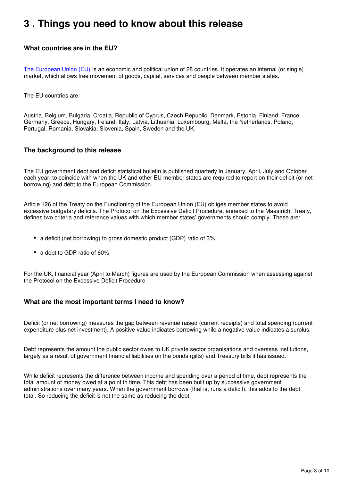## <span id="page-2-0"></span>**3 . Things you need to know about this release**

### **What countries are in the EU?**

[The European Union \(EU\)](https://www.gov.uk/eu-eea) is an economic and political union of 28 countries. It operates an internal (or single) market, which allows free movement of goods, capital, services and people between member states.

The EU countries are:

Austria, Belgium, Bulgaria, Croatia, Republic of Cyprus, Czech Republic, Denmark, Estonia, Finland, France, Germany, Greece, Hungary, Ireland, Italy, Latvia, Lithuania, Luxembourg, Malta, the Netherlands, Poland, Portugal, Romania, Slovakia, Slovenia, Spain, Sweden and the UK.

### **The background to this release**

The EU government debt and deficit statistical bulletin is published quarterly in January, April, July and October each year, to coincide with when the UK and other EU member states are required to report on their deficit (or net borrowing) and debt to the European Commission.

Article 126 of the Treaty on the Functioning of the European Union (EU) obliges member states to avoid excessive budgetary deficits. The Protocol on the Excessive Deficit Procedure, annexed to the Maastricht Treaty, defines two criteria and reference values with which member states' governments should comply. These are:

- a deficit (net borrowing) to gross domestic product (GDP) ratio of 3%
- a debt to GDP ratio of 60%

For the UK, financial year (April to March) figures are used by the European Commission when assessing against the Protocol on the Excessive Deficit Procedure.

### **What are the most important terms I need to know?**

Deficit (or net borrowing) measures the gap between revenue raised (current receipts) and total spending (current expenditure plus net investment). A positive value indicates borrowing while a negative value indicates a surplus.

Debt represents the amount the public sector owes to UK private sector organisations and overseas institutions, largely as a result of government financial liabilities on the bonds (gilts) and Treasury bills it has issued.

While deficit represents the difference between income and spending over a period of time, debt represents the total amount of money owed at a point in time. This debt has been built up by successive government administrations over many years. When the government borrows (that is, runs a deficit), this adds to the debt total. So reducing the deficit is not the same as reducing the debt.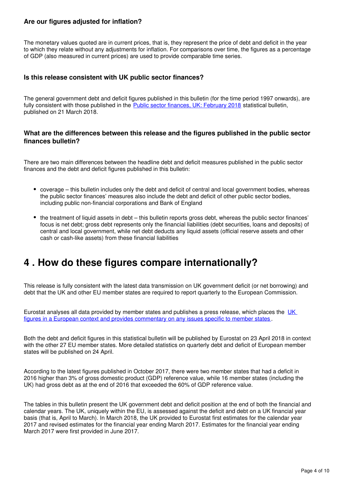### **Are our figures adjusted for inflation?**

The monetary values quoted are in current prices, that is, they represent the price of debt and deficit in the year to which they relate without any adjustments for inflation. For comparisons over time, the figures as a percentage of GDP (also measured in current prices) are used to provide comparable time series.

### **Is this release consistent with UK public sector finances?**

The general government debt and deficit figures published in this bulletin (for the time period 1997 onwards), are fully consistent with those published in the [Public sector finances, UK: February 2018](https://www.ons.gov.uk/economy/governmentpublicsectorandtaxes/publicsectorfinance/bulletins/publicsectorfinances/february2018) statistical bulletin, published on 21 March 2018.

#### **What are the differences between this release and the figures published in the public sector finances bulletin?**

There are two main differences between the headline debt and deficit measures published in the public sector finances and the debt and deficit figures published in this bulletin:

- coverage this bulletin includes only the debt and deficit of central and local government bodies, whereas the public sector finances' measures also include the debt and deficit of other public sector bodies, including public non-financial corporations and Bank of England
- the treatment of liquid assets in debt this bulletin reports gross debt, whereas the public sector finances' focus is net debt; gross debt represents only the financial liabilities (debt securities, loans and deposits) of central and local government, while net debt deducts any liquid assets (official reserve assets and other cash or cash-like assets) from these financial liabilities

## <span id="page-3-0"></span>**4 . How do these figures compare internationally?**

This release is fully consistent with the latest data transmission on UK government deficit (or net borrowing) and debt that the UK and other EU member states are required to report quarterly to the European Commission.

Eurostat analyses all data provided by member states and publishes a press release, which places the [UK](http://ec.europa.eu/eurostat/web/government-finance-statistics/publications/press-releases)  [figures in a European context and provides commentary on any issues specific to member states](http://ec.europa.eu/eurostat/web/government-finance-statistics/publications/press-releases) .

Both the debt and deficit figures in this statistical bulletin will be published by Eurostat on 23 April 2018 in context with the other 27 EU member states. More detailed statistics on quarterly debt and deficit of European member states will be published on 24 April.

According to the latest figures published in October 2017, there were two member states that had a deficit in 2016 higher than 3% of gross domestic product (GDP) reference value, while 16 member states (including the UK) had gross debt as at the end of 2016 that exceeded the 60% of GDP reference value.

The tables in this bulletin present the UK government debt and deficit position at the end of both the financial and calendar years. The UK, uniquely within the EU, is assessed against the deficit and debt on a UK financial year basis (that is, April to March). In March 2018, the UK provided to Eurostat first estimates for the calendar year 2017 and revised estimates for the financial year ending March 2017. Estimates for the financial year ending March 2017 were first provided in June 2017.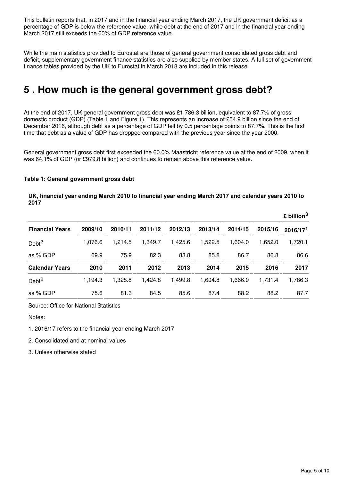This bulletin reports that, in 2017 and in the financial year ending March 2017, the UK government deficit as a percentage of GDP is below the reference value, while debt at the end of 2017 and in the financial year ending March 2017 still exceeds the 60% of GDP reference value.

While the main statistics provided to Eurostat are those of general government consolidated gross debt and deficit, supplementary government finance statistics are also supplied by member states. A full set of government finance tables provided by the UK to Eurostat in March 2018 are included in this release.

## <span id="page-4-0"></span>**5 . How much is the general government gross debt?**

At the end of 2017, UK general government gross debt was £1,786.3 billion, equivalent to 87.7% of gross domestic product (GDP) (Table 1 and Figure 1). This represents an increase of £54.9 billion since the end of December 2016, although debt as a percentage of GDP fell by 0.5 percentage points to 87.7%. This is the first time that debt as a value of GDP has dropped compared with the previous year since the year 2000.

General government gross debt first exceeded the 60.0% Maastricht reference value at the end of 2009, when it was 64.1% of GDP (or £979.8 billion) and continues to remain above this reference value.

#### **Table 1: General government gross debt**

#### **UK, financial year ending March 2010 to financial year ending March 2017 and calendar years 2010 to 2017**

|                        |         |         |         |         |         |         |         | $\boldsymbol{\mathfrak{L}}$ billion $^3$ |
|------------------------|---------|---------|---------|---------|---------|---------|---------|------------------------------------------|
| <b>Financial Years</b> | 2009/10 | 2010/11 | 2011/12 | 2012/13 | 2013/14 | 2014/15 | 2015/16 | 2016/17 <sup>1</sup>                     |
| Debt <sup>2</sup>      | 1.076.6 | 1.214.5 | 1.349.7 | 1,425.6 | 1,522.5 | 1.604.0 | 1.652.0 | 1,720.1                                  |
| as % GDP               | 69.9    | 75.9    | 82.3    | 83.8    | 85.8    | 86.7    | 86.8    | 86.6                                     |
| <b>Calendar Years</b>  | 2010    | 2011    | 2012    | 2013    | 2014    | 2015    | 2016    | 2017                                     |
| Debt <sup>2</sup>      | 1,194.3 | 1.328.8 | 1.424.8 | 1,499.8 | 1,604.8 | 1,666.0 | 1.731.4 | 1,786.3                                  |
| as % GDP               | 75.6    | 81.3    | 84.5    | 85.6    | 87.4    | 88.2    | 88.2    | 87.7                                     |

Source: Office for National Statistics

Notes:

1. 2016/17 refers to the financial year ending March 2017

2. Consolidated and at nominal values

3. Unless otherwise stated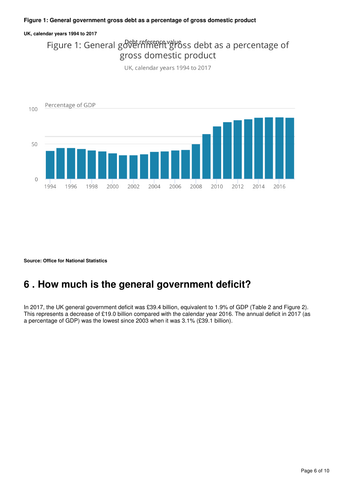#### **Figure 1: General government gross debt as a percentage of gross domestic product**

#### **UK, calendar years 1994 to 2017**

## Figure 1: General government gross debt as a percentage of gross domestic product

UK, calendar years 1994 to 2017



**Source: Office for National Statistics**

## <span id="page-5-0"></span>**6 . How much is the general government deficit?**

In 2017, the UK general government deficit was £39.4 billion, equivalent to 1.9% of GDP (Table 2 and Figure 2). This represents a decrease of £19.0 billion compared with the calendar year 2016. The annual deficit in 2017 (as a percentage of GDP) was the lowest since 2003 when it was 3.1% (£39.1 billion).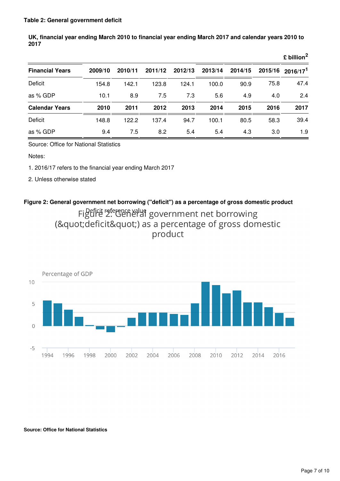|                        |         |         |         |         |         |         |         | $\epsilon$ billion <sup>2</sup> |
|------------------------|---------|---------|---------|---------|---------|---------|---------|---------------------------------|
| <b>Financial Years</b> | 2009/10 | 2010/11 | 2011/12 | 2012/13 | 2013/14 | 2014/15 | 2015/16 | 2016/17 <sup>1</sup>            |
| Deficit                | 154.8   | 142.1   | 123.8   | 124.1   | 100.0   | 90.9    | 75.8    | 47.4                            |
| as % GDP               | 10.1    | 8.9     | 7.5     | 7.3     | 5.6     | 4.9     | 4.0     | 2.4                             |
| <b>Calendar Years</b>  | 2010    | 2011    | 2012    | 2013    | 2014    | 2015    | 2016    | 2017                            |
| Deficit                | 148.8   | 122.2   | 137.4   | 94.7    | 100.1   | 80.5    | 58.3    | 39.4                            |
| as % GDP               | 9.4     | 7.5     | 8.2     | 5.4     | 5.4     | 4.3     | 3.0     | 1.9                             |

**UK, financial year ending March 2010 to financial year ending March 2017 and calendar years 2010 to 2017**

Source: Office for National Statistics

Notes:

1. 2016/17 refers to the financial year ending March 2017

2. Unless otherwise stated

### **Figure 2: General government net borrowing ("deficit") as a percentage of gross domestic product** Figule 2. General government net borrowing ("deficit") as a percentage of gross domestic product



**Source: Office for National Statistics**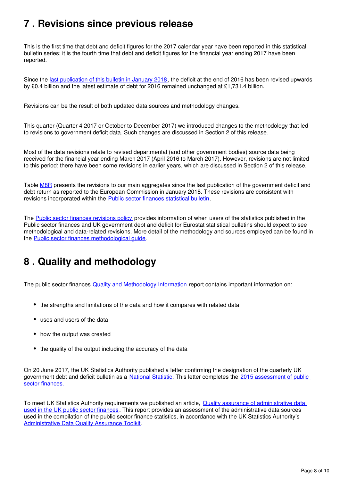## <span id="page-7-0"></span>**7 . Revisions since previous release**

This is the first time that debt and deficit figures for the 2017 calendar year have been reported in this statistical bulletin series; it is the fourth time that debt and deficit figures for the financial year ending 2017 have been reported.

Since the [last publication of this bulletin in January 2018,](https://www.ons.gov.uk/economy/governmentpublicsectorandtaxes/publicspending/bulletins/ukgovernmentdebtanddeficitforeurostatmaast/september2017) the deficit at the end of 2016 has been revised upwards by £0.4 billion and the latest estimate of debt for 2016 remained unchanged at £1,731.4 billion.

Revisions can be the result of both updated data sources and methodology changes.

This quarter (Quarter 4 2017 or October to December 2017) we introduced changes to the methodology that led to revisions to government deficit data. Such changes are discussed in Section 2 of this release.

Most of the data revisions relate to revised departmental (and other government bodies) source data being received for the financial year ending March 2017 (April 2016 to March 2017). However, revisions are not limited to this period; there have been some revisions in earlier years, which are discussed in Section 2 of this release.

Table [M8R](https://www.ons.gov.uk/economy/governmentpublicsectorandtaxes/publicsectorfinance/datasets/governmentdeficitanddebtreturn) presents the revisions to our main aggregates since the last publication of the government deficit and debt return as reported to the European Commission in January 2018. These revisions are consistent with revisions incorporated within the [Public sector finances statistical bulletin](https://www.ons.gov.uk/economy/governmentpublicsectorandtaxes/publicsectorfinance/bulletins/publicsectorfinances/previousReleases).

The [Public sector finances revisions policy](http://www.ons.gov.uk/methodology/methodologytopicsandstatisticalconcepts/revisions/revisionspoliciesforeconomicstatistics) provides information of when users of the statistics published in the Public sector finances and UK government debt and deficit for Eurostat statistical bulletins should expect to see methodological and data-related revisions. More detail of the methodology and sources employed can be found in the **Public sector finances methodological guide**.

## <span id="page-7-1"></span>**8 . Quality and methodology**

The public sector finances **Quality and Methodology Information** report contains important information on:

- the strengths and limitations of the data and how it compares with related data
- uses and users of the data
- how the output was created
- the quality of the output including the accuracy of the data

On 20 June 2017, the UK Statistics Authority published a letter confirming the designation of the quarterly UK government debt and deficit bulletin as a National Statistic[.](https://www.statisticsauthority.gov.uk/about-the-authority/uk-statistical-system/types-of-official-statistics/) This letter completes the 2015 assessment of public [sector finances.](https://www.statisticsauthority.gov.uk/publication/statistics-on-the-public-sector-finances/)

To meet UK Statistics Authority requirements we published an article, Quality assurance of administrative data [used in the UK public sector finances.](https://www.ons.gov.uk/economy/governmentpublicsectorandtaxes/publicsectorfinance/methodologies/qualityassuranceofadministrativedatausedintheukpublicsectorfinancesfeb2017) This report provides an assessment of the administrative data sources used in the compilation of the public sector finance statistics, in accordance with the UK Statistics Authority's [Administrative Data Quality Assurance Toolkit.](https://www.statisticsauthority.gov.uk/publication/administrative-data-quality-assurance-toolkit/)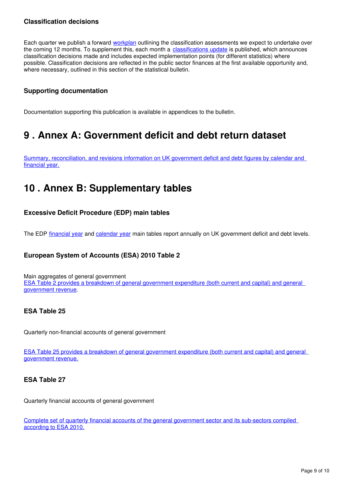### **Classification decisions**

Each quarter we publish a forward [workplan](https://www.ons.gov.uk/economy/nationalaccounts/uksectoraccounts/articles/economicstatisticssectorclassificationclassificationupdateandforwardworkplan/previousReleases) outlining the classification assessments we expect to undertake over the coming 12 months. To supplement this, each month a [classifications update](https://www.ons.gov.uk/economy/nationalaccounts/uksectoraccounts/articles/economicstatisticssectorclassificationclassificationupdateandforwardworkplan/previousReleases) is published, which announces classification decisions made and includes expected implementation points (for different statistics) where possible. Classification decisions are reflected in the public sector finances at the first available opportunity and, where necessary, outlined in this section of the statistical bulletin.

### **Supporting documentation**

Documentation supporting this publication is available in appendices to the bulletin.

## <span id="page-8-0"></span>**9 . Annex A: Government deficit and debt return dataset**

[Summary, reconciliation, and revisions information on UK government deficit and debt figures by calendar and](https://www.ons.gov.uk/economy/governmentpublicsectorandtaxes/publicsectorfinance/datasets/governmentdeficitanddebtreturn)  [financial year.](https://www.ons.gov.uk/economy/governmentpublicsectorandtaxes/publicsectorfinance/datasets/governmentdeficitanddebtreturn)

## <span id="page-8-1"></span>**10 . Annex B: Supplementary tables**

### **Excessive Deficit Procedure (EDP) main tables**

The EDP financial year and calendar year main tables report annually on UK government deficit and debt levels.

### **European System of Accounts (ESA) 2010 Table 2**

Main aggregates of general government [ESA Table 2 provides a breakdown of general government expenditure \(both current and capital\) and general](https://www.ons.gov.uk/economy/governmentpublicsectorandtaxes/publicspending/datasets/esatable2mainaggregatesofgeneralgovernment)  [government revenue](https://www.ons.gov.uk/economy/governmentpublicsectorandtaxes/publicspending/datasets/esatable2mainaggregatesofgeneralgovernment).

### **ESA Table 25**

Quarterly non-financial accounts of general government

[ESA Table 25 provides a breakdown of general government expenditure \(both current and capital\) and general](https://www.ons.gov.uk/economy/governmentpublicsectorandtaxes/publicspending/datasets/esatable25quarterlynonfinancialaccountsofgeneralgovernment)  [government revenue.](https://www.ons.gov.uk/economy/governmentpublicsectorandtaxes/publicspending/datasets/esatable25quarterlynonfinancialaccountsofgeneralgovernment)

### **ESA Table 27**

Quarterly financial accounts of general government

[Complete set of quarterly financial accounts of the general government sector and its sub-sectors compiled](https://www.ons.gov.uk/economy/governmentpublicsectorandtaxes/publicspending/datasets/esatable27quarterlyfinancialaccountsofgeneralgovernment)  [according to ESA 2010.](https://www.ons.gov.uk/economy/governmentpublicsectorandtaxes/publicspending/datasets/esatable27quarterlyfinancialaccountsofgeneralgovernment)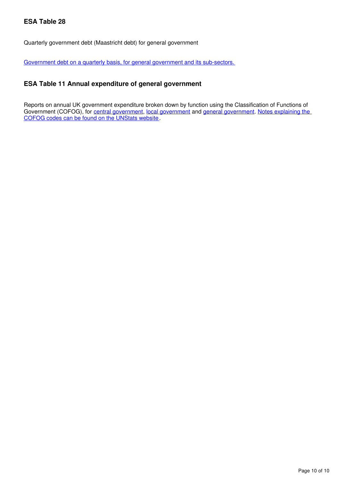### **ESA Table 28**

Quarterly government debt (Maastricht debt) for general government

[Government debt on a quarterly basis, for general government and its sub-sectors.](https://www.ons.gov.uk/economy/governmentpublicsectorandtaxes/publicspending/datasets/esatable28quarterlygovernmentdebtmaastrichtdebtforgeneralgovernment)

### **ESA Table 11 Annual expenditure of general government**

Reports on annual UK government expenditure broken down by function using the Classification of Functions of Government (COFOG)[,](https://www.ons.gov.uk/economy/governmentpublicsectorandtaxes/publicspending/datasets/esatable11annualexpenditureofcentralgovernment)for central government, local government and general government[.](https://www.ons.gov.uk/economy/governmentpublicsectorandtaxes/publicspending/datasets/esatable11annualexpenditureofgeneralgovernment) Notes explaining the [COFOG codes can be found on the UNStats website.](https://unstats.un.org/unsd/cr/registry/regcst.asp?Cl=4)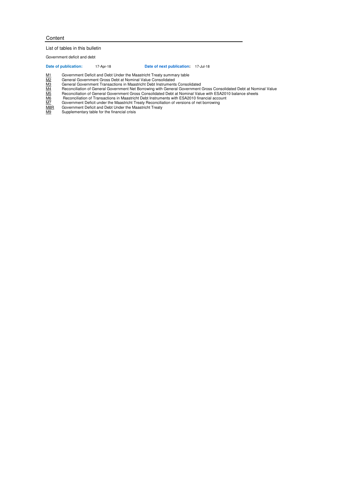#### **Content**

#### List of tables in this bulletin

Government deficit and debt

#### **Date of publication:** 17-Apr-18 **Date of next publication:** 17-Jul-18

- General Government Gross Debt at Nominal Value Consolidated
- General Government Transactions in Maastricht Debt Instruments Consolidated
- $\frac{M1}{M2}$ Government Deficit and Debt Under the Maastricht Treaty summary table<br>  $\frac{M2}{M3}$ General Government Transactions in Maastricht Debt Instruments Conso<br>
Reconciliation of General Government Net Borrowing with M4 Reconciliation of General Government Net Borrowing with General Government Gross Consolidated Debt at Nominal Value
- M5 Reconciliation of General Government Gross Consolidated Debt at Nominal Value with ESA2010 balance sheets M6 Reconciliation of Transactions in Maastricht Debt Instruments with ESA2010 financial account
- M7 Government Deficit under the Maastricht Treaty Reconciliation of versions of net borrowing<br>M8R Government Deficit under the Maastricht Treaty Reconciliation of versions of net borrowing
- M8R Government Deficit and Debt Under the Maastricht Treaty<br>M9 Supplementary table for the financial crisis
- Supplementary table for the financial crisis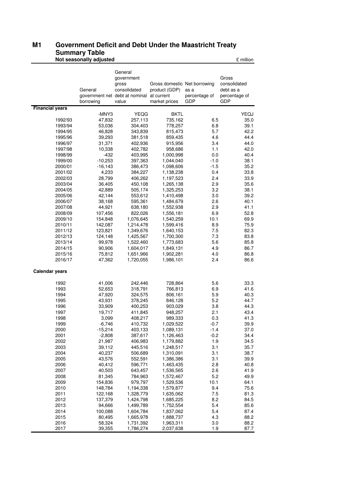#### **M1 Government Deficit and Debt Under the Maastricht Treaty Summary Table M1**

|                        | Not seasonally adjusted |                                |                              |                             | £ million                   |
|------------------------|-------------------------|--------------------------------|------------------------------|-----------------------------|-----------------------------|
|                        |                         |                                |                              |                             |                             |
|                        |                         | General                        |                              |                             |                             |
|                        |                         | government                     |                              |                             | Gross                       |
|                        |                         | gross                          | Gross domestic Net borrowing |                             | consolidated                |
|                        | General                 | consolidated                   | product (GDP)                | as a                        | debt as a                   |
|                        |                         | government net debt at nominal | at current                   | percentage of<br><b>GDP</b> | percentage of<br><b>GDP</b> |
| <b>Financial years</b> | borrowing               | value                          | market prices                |                             |                             |
|                        | -MNY3                   | <b>YEQG</b>                    | BKTL                         |                             | YEQJ                        |
| 1992/93                | 47,832                  | 257,113                        | 735,162                      | 6.5                         | 35.0                        |
| 1993/94                | 53,036                  | 304,403                        | 778,257                      | 6.8                         | 39.1                        |
| 1994/95                | 46,828                  | 343,839                        | 815,473                      | 5.7                         | 42.2                        |
| 1995/96                | 39,293                  | 381,518                        | 859,435                      | 4.6                         | 44.4                        |
| 1996/97                | 31,371                  | 402,936                        | 915,956                      | 3.4                         | 44.0                        |
| 1997/98                | 10,338                  | 402,782                        | 958,686                      | 1.1                         | 42.0                        |
| 1998/99                | $-432$                  | 403,995                        | 1,000,998                    | 0.0                         | 40.4                        |
| 1999/00                | $-10,253$               | 397,363                        | 1,044,040                    | $-1.0$                      | 38.1                        |
| 2000/01                | $-16,143$               | 386,473                        | 1,098,606                    | $-1.5$                      | 35.2                        |
| 2001/02                | 4,233                   | 384,227                        | 1,138,238                    | 0.4                         | 33.8                        |
| 2002/03                | 28,799                  | 406,262                        | 1,197,523                    | 2.4                         | 33.9                        |
| 2003/04                | 36,405                  | 450,108                        | 1,265,138                    | 2.9                         | 35.6                        |
| 2004/05                | 42,889                  | 505,174                        | 1,325,253                    | 3.2                         | 38.1                        |
| 2005/06<br>2006/07     | 42,144<br>38,168        | 553,612<br>595,361             | 1,410,498<br>1,484,679       | 3.0<br>2.6                  | 39.2<br>40.1                |
| 2007/08                | 44,921                  | 638,180                        | 1,552,938                    | 2.9                         | 41.1                        |
| 2008/09                | 107,456                 | 822,026                        | 1,556,181                    | 6.9                         | 52.8                        |
| 2009/10                | 154,848                 | 1,076,645                      | 1,540,259                    | 10.1                        | 69.9                        |
| 2010/11                | 142,087                 | 1,214,478                      | 1,599,416                    | 8.9                         | 75.9                        |
| 2011/12                | 123,821                 | 1,349,676                      | 1,640,153                    | 7.5                         | 82.3                        |
| 2012/13                | 124,148                 | 1,425,567                      | 1,700,300                    | 7.3                         | 83.8                        |
| 2013/14                | 99,978                  | 1,522,460                      | 1,773,683                    | 5.6                         | 85.8                        |
| 2014/15                | 90,906                  | 1,604,017                      | 1,849,131                    | 4.9                         | 86.7                        |
| 2015/16                | 75,812                  | 1,651,966                      | 1,902,281                    | 4.0                         | 86.8                        |
| 2016/17                | 47,362                  | 1,720,055                      | 1,986,101                    | 2.4                         | 86.6                        |
| <b>Calendar years</b>  |                         |                                |                              |                             |                             |
| 1992                   | 41,006                  | 242,446                        | 728,864                      | 5.6                         | 33.3                        |
| 1993                   | 52,653                  | 318,791                        | 766,813                      | 6.9                         | 41.6                        |
| 1994                   | 47,920                  | 324,575                        | 806,161                      | 5.9                         | 40.3                        |
| 1995                   | 43,931                  | 378,245                        | 846,128                      | 5.2                         | 44.7                        |
| 1996                   | 33,909                  | 400,253                        | 903,029                      | 3.8                         | 44.3                        |
| 1997                   | 19,717                  | 411,845                        | 948,257                      | 2.1                         | 43.4                        |
| 1998                   | 3,099                   | 408,217                        | 989,333                      | 0.3                         | 41.3                        |
| 1999                   | $-6,746$                | 410,732                        | 1,029,522                    | $-0.7$                      | 39.9                        |
| 2000                   | $-15,214$               | 403,133                        | 1,089,131                    | $-1.4$                      | 37.0                        |
| 2001                   | $-2,808$                | 387,617                        | 1,126,463                    | $-0.2$                      | 34.4                        |
| 2002                   | 21,987                  | 406,983                        | 1,179,882                    | 1.9                         | 34.5                        |
| 2003                   | 39,112                  | 445,516                        | 1,248,517                    | 3.1                         | 35.7                        |
| 2004<br>2005           | 40,237<br>43,576        | 506,689<br>552,591             | 1,310,091<br>1,386,386       | 3.1<br>3.1                  | 38.7<br>39.9                |
| 2006                   | 40,412                  | 596,771                        | 1,463,435                    | 2.8                         | 40.8                        |
| 2007                   | 40,503                  | 643,457                        | 1,536,565                    | 2.6                         | 41.9                        |
| 2008                   | 81,345                  | 784,963                        | 1,572,467                    | 5.2                         | 49.9                        |
| 2009                   | 154,836                 | 979,797                        | 1,529,536                    | 10.1                        | 64.1                        |
| 2010                   | 148,784                 | 1,194,338                      | 1,579,877                    | 9.4                         | 75.6                        |
| 2011                   | 122,168                 | 1,328,779                      | 1,635,062                    | 7.5                         | 81.3                        |
| 2012                   | 137,379                 | 1,424,798                      | 1,685,225                    | 8.2                         | 84.5                        |
| 2013                   | 94,666                  | 1,499,789                      | 1,752,554                    | 5.4                         | 85.6                        |
| 2014                   | 100,088                 | 1,604,784                      | 1,837,062                    | 5.4                         | 87.4                        |
| 2015                   | 80,495                  | 1,665,978                      | 1,888,737                    | 4.3                         | 88.2                        |
| 2016<br>2017           | 58,324<br>39,355        | 1,731,392<br>1,786,274         | 1,963,311<br>2,037,638       | 3.0<br>1.9                  | 88.2<br>87.7                |
|                        |                         |                                |                              |                             |                             |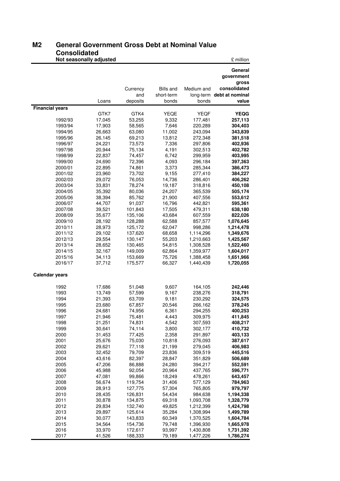#### **M2 General Government Gross Debt at Nominal Value Consolidated M2**

|                        | Not seasonally adjusted |                    |                  |                        | £ million                 |
|------------------------|-------------------------|--------------------|------------------|------------------------|---------------------------|
|                        |                         |                    |                  |                        | General                   |
|                        |                         |                    |                  |                        | government                |
|                        |                         |                    |                  |                        | gross                     |
|                        |                         | Currency           | <b>Bills and</b> | Medium and             | consolidated              |
|                        |                         | and                | short-term       |                        | long-term debt at nominal |
|                        | Loans                   | deposits           | bonds            | bonds                  | value                     |
| <b>Financial years</b> |                         |                    |                  |                        |                           |
|                        | GTK7                    | GTK4               | YEQE             | YEQF                   | <b>YEQG</b>               |
| 1992/93                | 17,045                  | 53,255             | 9,332            | 177,481                | 257,113                   |
| 1993/94<br>1994/95     | 17,903<br>26,663        | 58,565<br>63,080   | 7,646<br>11,002  | 220,289<br>243,094     | 304,403<br>343,839        |
| 1995/96                | 26,145                  | 69,213             | 13,812           | 272,348                | 381,518                   |
| 1996/97                | 24,221                  | 73,573             | 7,336            | 297,806                | 402,936                   |
| 1997/98                | 20,944                  | 75,134             | 4,191            | 302,513                | 402,782                   |
| 1998/99                | 22,837                  | 74,457             | 6,742            | 299,959                | 403,995                   |
| 1999/00                | 24,690                  | 72,396             | 4,093            | 296,184                | 397,363                   |
| 2000/01                | 22,895                  | 74,861             | 3,373            | 285,344                | 386,473                   |
| 2001/02                | 23,960                  | 73,702             | 9,155            | 277,410                | 384,227                   |
| 2002/03                | 29,072                  | 76,053             | 14,736           | 286,401                | 406,262                   |
| 2003/04                | 33,831                  | 78,274             | 19,187           | 318,816                | 450,108                   |
| 2004/05                | 35,392                  | 80,036             | 24,207           | 365,539                | 505,174                   |
| 2005/06                | 38,394                  | 85,762             | 21,900           | 407,556                | 553,612                   |
| 2006/07<br>2007/08     | 44,707                  | 91,037             | 16,796           | 442,821                | 595,361                   |
| 2008/09                | 39,521<br>35,677        | 101,843<br>135,106 | 17,505<br>43,684 | 479,311<br>607,559     | 638,180<br>822,026        |
| 2009/10                | 28,192                  | 128,288            | 62,588           | 857,577                | 1,076,645                 |
| 2010/11                | 28,973                  | 125,172            | 62,047           | 998,286                | 1,214,478                 |
| 2011/12                | 29,102                  | 137,620            | 68,658           | 1,114,296              | 1,349,676                 |
| 2012/13                | 29,554                  | 130,147            | 55,203           | 1,210,663              | 1,425,567                 |
| 2013/14                | 28,652                  | 130,465            | 54,815           | 1,308,528              | 1,522,460                 |
| 2014/15                | 32,167                  | 149,009            | 62,864           | 1,359,977              | 1,604,017                 |
| 2015/16                | 34,113                  | 153,669            | 75,726           | 1,388,458              | 1,651,966                 |
| 2016/17                | 37,712                  | 175,577            | 66,327           | 1,440,439              | 1,720,055                 |
| <b>Calendar years</b>  |                         |                    |                  |                        |                           |
| 1992                   |                         | 51,048             | 9,607            |                        |                           |
| 1993                   | 17,686<br>13,749        | 57,599             | 9,167            | 164,105<br>238,276     | 242,446<br>318,791        |
| 1994                   | 21,393                  | 63,709             | 9,181            | 230,292                | 324,575                   |
| 1995                   | 23,680                  | 67,857             | 20,546           | 266,162                | 378,245                   |
| 1996                   | 24,681                  | 74,956             | 6,361            | 294,255                | 400,253                   |
| 1997                   | 21,946                  | 75,481             | 4,443            | 309,975                | 411,845                   |
| 1998                   | 21,251                  | 74,831             | 4,542            | 307,593                | 408,217                   |
| 1999                   | 30,641                  | 74,114             | 3,800            | 302,177                | 410,732                   |
| 2000                   | 31,453                  | 77,425             | 2,358            | 291,897                | 403,133                   |
| 2001                   | 25,676                  | 75,030             | 10,818           | 276,093                | 387,617                   |
| 2002                   | 29,621                  | 77,118             | 21,199           | 279,045                | 406,983                   |
| 2003<br>2004           | 32,452<br>43,616        | 79,709<br>82,397   | 23,836<br>28,847 | 309,519                | 445,516<br>506,689        |
| 2005                   | 47,206                  | 86,888             | 24,280           | 351,829<br>394,217     | 552,591                   |
| 2006                   | 45,988                  | 92,054             | 20,964           | 437,765                | 596,771                   |
| 2007                   | 47,081                  | 99,866             | 18,249           | 478,261                | 643,457                   |
| 2008                   | 56,674                  | 119,754            | 31,406           | 577,129                | 784,963                   |
| 2009                   | 28,913                  | 127,775            | 57,304           | 765,805                | 979,797                   |
| 2010                   | 28,435                  | 126,831            | 54,434           | 984,638                | 1,194,338                 |
| 2011                   | 30,878                  | 134,875            | 69,318           | 1,093,708              | 1,328,779                 |
| 2012                   | 29,834                  | 132,740            | 49,825           | 1,212,399              | 1,424,798                 |
| 2013                   | 29,897                  | 125,614            | 35,284           | 1,308,994              | 1,499,789                 |
| 2014                   | 30,077                  | 143,833            | 60,349           | 1,370,525              | 1,604,784                 |
| 2015                   | 34,564                  | 154,736            | 79,748           | 1,396,930              | 1,665,978                 |
| 2016<br>2017           | 33,970<br>41,526        | 172,617<br>188,333 | 93,997<br>79,189 | 1,430,808<br>1,477,226 | 1,731,392<br>1,786,274    |
|                        |                         |                    |                  |                        |                           |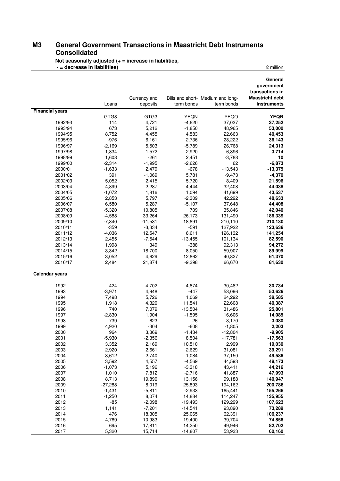#### **M3 General Government Transactions in Maastricht Debt Instruments Consolidated M3**

**Not seasonally adjusted (+ = increase in liabilities, - = decrease in liabilities)**  $\qquad \qquad$  **E** million

|                        |                   |                          |                     |                                                 | General<br>government                                    |
|------------------------|-------------------|--------------------------|---------------------|-------------------------------------------------|----------------------------------------------------------|
|                        | Loans             | Currency and<br>deposits | term bonds          | Bills and short- Medium and long-<br>term bonds | transactions in<br><b>Maastricht debt</b><br>instruments |
| <b>Financial years</b> |                   |                          |                     |                                                 |                                                          |
|                        | GTG8              | GTG3                     | <b>YEQN</b>         | <b>YEQO</b>                                     | <b>YEQR</b>                                              |
| 1992/93                | 114               | 4,721                    | $-4,620$            | 37,037                                          | 37,252                                                   |
| 1993/94                | 673               | 5,212                    | $-1,850$            | 48,965                                          | 53,000                                                   |
| 1994/95                | 8,752             | 4,455                    | 4,583               | 22,663                                          | 40,453                                                   |
| 1995/96                | $-976$            | 6,161                    | 2,736               | 28,222                                          | 36,143                                                   |
| 1996/97                | $-2,169$          | 5,503                    | $-5,789$            | 26,768                                          | 24,313                                                   |
| 1997/98                | $-1,834$          | 1,572                    | $-2,920$            | 6,896                                           | 3,714                                                    |
| 1998/99                | 1,608             | $-261$                   | 2,451               | $-3,788$                                        | 10                                                       |
| 1999/00                | $-2,314$          | $-1,995$                 | $-2,626$            | 62                                              | $-6,873$                                                 |
| 2000/01                | $-1,633$          | 2,479                    | $-678$              | $-13,543$                                       | $-13,375$                                                |
| 2001/02                | 391               | $-1,069$                 | 5,781               | $-9,473$                                        | $-4,370$                                                 |
| 2002/03                | 5,052             | 2,415                    | 5,720               | 8,409                                           | 21,596                                                   |
| 2003/04                | 4,899             | 2,287                    | 4,444               | 32,408                                          | 44,038                                                   |
| 2004/05                | $-1,072$          | 1,816                    | 1,094               | 41,699                                          | 43,537                                                   |
| 2005/06                | 2,853             | 5,797                    | $-2,309$            | 42,292                                          | 48,633                                                   |
| 2006/07                | 6,580             | 5,287                    | $-5,107$            | 37,648                                          | 44,408                                                   |
| 2007/08                | $-5,320$          | 10,805                   | 709                 | 35,846                                          | 42,040                                                   |
| 2008/09                | $-4,588$          | 33,264                   | 26,173              | 131,490                                         | 186,339                                                  |
| 2009/10                | $-7,340$          | $-11,531$                | 18,891              | 210,110                                         | 210,130                                                  |
| 2010/11                | $-359$            | $-3,334$                 | $-591$              | 127,922                                         | 123,638                                                  |
| 2011/12                | $-4,036$          | 12,547                   | 6,611               | 126,132                                         | 141,254                                                  |
| 2012/13                | 2,455             | $-7,544$                 | $-13,455$           | 101,134                                         | 82,590                                                   |
| 2013/14                | 1,998<br>3,342    | 349                      | $-388$              | 92,313                                          | 94,272                                                   |
| 2014/15                |                   | 18,700                   | 8,050               | 59,907                                          | 89,999                                                   |
| 2015/16<br>2016/17     | 3,052<br>2,484    | 4,629<br>21,874          | 12,862<br>$-9,398$  | 40,827<br>66,670                                | 61,370<br>81,630                                         |
|                        |                   |                          |                     |                                                 |                                                          |
| <b>Calendar years</b>  |                   |                          |                     |                                                 |                                                          |
| 1992                   | 424               | 4,702                    | $-4,874$            | 30,482                                          | 30,734                                                   |
| 1993                   | $-3,971$          | 4,948                    | $-447$              | 53,096                                          | 53,626                                                   |
| 1994                   | 7,498             | 5,726                    | 1,069               | 24,292                                          | 38,585                                                   |
| 1995                   | 1,918             | 4,320                    | 11,541              | 22,608                                          | 40,387                                                   |
| 1996                   | 740               | 7,079                    | $-13,504$           | 31,486                                          | 25,801                                                   |
| 1997                   | $-2,830$          | 1,904                    | $-1,595$            | 16,606                                          | 14,085                                                   |
| 1998                   | 739               | $-623$                   | $-26$               | $-3,170$                                        | $-3,080$                                                 |
| 1999                   | 4,920             | $-304$                   | $-608$              | $-1,805$                                        | 2,203                                                    |
| 2000                   | 964               | 3,369                    | $-1,434$            | $-12,804$                                       | $-9,905$                                                 |
| 2001                   | $-5,930$          | $-2,356$                 | 8,504               | $-17,781$                                       | -17,563                                                  |
| 2002                   | 3,352             | 2,169                    | 10,510              | 2,999                                           | 19,030                                                   |
| 2003                   | 2,920             | 2,661                    | 2,629               | 31,081                                          | 39,291                                                   |
| 2004                   | 8,612             | 2,740                    | 1,084               | 37,150                                          | 49,586                                                   |
| 2005                   | 3,592             | 4,557                    | $-4,569$            | 44,593                                          | 48,173                                                   |
| 2006                   | $-1,073$          | 5,196                    | $-3,318$            | 43,411                                          | 44,216                                                   |
| 2007                   | 1,010             | 7,812                    | $-2,716$            | 41,887                                          | 47,993                                                   |
| 2008                   | 8,713             | 19,890                   | 13,156              | 99,188                                          | 140,947                                                  |
| 2009                   | $-27,288$         | 8,019                    | 25,893              | 194,162                                         | 200,786                                                  |
| 2010                   | $-1,431$          | $-5,811$                 | $-2,933$            | 165,441                                         | 155,266                                                  |
| 2011<br>2012           | $-1,250$<br>$-85$ | 8,074                    | 14,884              | 114,247                                         | 135,955                                                  |
|                        |                   | $-2,098$                 | $-19,493$           | 129,299                                         | 107,623                                                  |
| 2013<br>2014           | 1,141<br>476      | $-7,201$<br>18,305       | $-14,541$<br>25,065 | 93,890<br>62,391                                | 73,289<br>106,237                                        |
| 2015                   | 4,769             | 10,983                   | 19,400              | 39,704                                          | 74,856                                                   |
| 2016                   | 695               | 17,811                   | 14,250              | 49,946                                          | 82,702                                                   |
| 2017                   | 5,320             | 15,714                   | $-14,807$           | 53,933                                          | 60,160                                                   |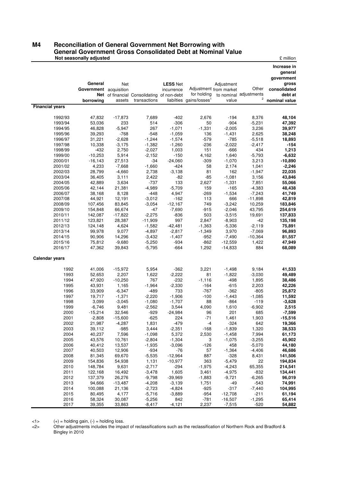#### **M4 Reconciliation of General Government Net Borrowing with General Government Gross Consolidated Debt at Nominal Value Not seasonally adjusted Example 2**  *Allen Level 2* **<b>** *Allen Level 2 Allen Level 2* **<b>** *Allen Level 2 Allen Allen Level 2* **<b>** *Allen Level 2 Allen Level 2 Allen Level 2* **<b>** *Allen Level 2 All* **M4**

|                        |                        |                      |                                            |                      |                                                     |                      |                             | Increase in<br>general<br>government |
|------------------------|------------------------|----------------------|--------------------------------------------|----------------------|-----------------------------------------------------|----------------------|-----------------------------|--------------------------------------|
|                        | General                | Net                  |                                            | <b>LESS Net</b>      |                                                     | Adjustment           |                             | gross                                |
|                        | Government acquisition |                      |                                            | incurrence           | Adjustment from market                              |                      | Other                       | consolidated                         |
|                        | borrowina              |                      | Net of financial Consolidating of non-debt |                      | for holding<br>liabilties gains/losses <sup>1</sup> | value                | to nominal adjustments<br>2 | debt at<br>nominal value             |
| <b>Financial years</b> |                        | assets               | transactions                               |                      |                                                     |                      |                             |                                      |
|                        |                        |                      |                                            |                      |                                                     |                      |                             |                                      |
| 1992/93                | 47,832                 | $-17,873$            | 7,689                                      | $-402$               | 2,676                                               | $-194$               | 8,376                       | 48,104                               |
| 1993/94                | 53,036                 | 233                  | 514                                        | $-306$               | 50                                                  | $-904$               | $-5,231$                    | 47,392                               |
| 1994/95                | 46,828                 | $-5,947$             | 267                                        | $-1,071$             | $-1,331$                                            | $-2,005$             | 3,236                       | 39,977                               |
| 1995/96                | 39,293                 | $-768$               | $-548$                                     | $-1,059$             | 136                                                 | $-1,431$             | 2,625<br>$-5,518$           | 38,248                               |
| 1996/97<br>1997/98     | 31,221<br>10,338       | $-2,628$<br>$-3,175$ | $-1,244$<br>$-1,382$                       | $-1,574$<br>$-1,260$ | $-579$<br>$-236$                                    | $-785$<br>$-2,022$   | $-2,417$                    | 18,893<br>$-154$                     |
| 1998/99                | $-432$                 | 2,750                | $-2,027$                                   | 1,003                | 151                                                 | $-666$               | 434                         | 1,213                                |
| 1999/00                | $-10,253$              | 5,914                | $-2,152$                                   | $-150$               | 4,162                                               | 1,640                | $-5,793$                    | $-6,632$                             |
| 2000/01                | $-16, 143$             | 27,513               | -34                                        | $-24,060$            | $-309$                                              | $-1,070$             | 3,213                       | $-10,890$                            |
| 2001/02                | 4,233                  | $-7,668$             | $-1,660$                                   | $-424$               | 58                                                  | 2,174                | 1,041                       | $-2,246$                             |
| 2002/03                | 28,799                 | $-4,660$             | 2,738                                      | $-3,138$             | 81                                                  | 162                  | $-1,947$                    | 22,035                               |
| 2003/04                | 36,405                 | 3,111                | 2,422                                      | -82                  | $-85$                                               | $-1,081$             | 3,156                       | 43,846                               |
| 2004/05                | 42,889                 | 3,634                | $-737$                                     | 133                  | 2,627                                               | $-1,331$             | 7,851                       | 55,066                               |
| 2005/06                | 42,144                 | 21,381               | $-4,989$                                   | $-5,709$             | 159                                                 | $-165$               | $-4,383$                    | 48,438                               |
| 2006/07                | 38,168                 | 8,128                | $-448$                                     | 4,947                | $-269$                                              | $-1,534$             | $-7,243$                    | 41,749                               |
| 2007/08                | 44,921                 | 12,191               | $-3,012$                                   | $-162$               | 113                                                 | 666                  | $-11,898$                   | 42,819                               |
| 2008/09                | 107,456                | 83,845               | $-3,054$                                   | $-12,167$            | 749                                                 | $-3,242$             | 10,259                      | 183,846                              |
| 2009/10<br>2010/11     | 154,848<br>142,087     | 66,674<br>$-17,822$  | -47<br>$-2,275$                            | $-7,690$<br>$-836$   | $-915$<br>503                                       | $-2,046$<br>$-3,515$ | 43,795<br>19,691            | 254,619<br>137,833                   |
| 2011/12                | 123,821                | 28,387               | $-11,909$                                  | 997                  | 2,847                                               | $-8,903$             | $-42$                       | 135,198                              |
| 2012/13                | 124,148                | 4,624                | $-1,582$                                   | $-42,481$            | $-1,363$                                            | $-5,336$             | $-2,119$                    | 75,891                               |
| 2013/14                | 99,978                 | 9,077                | $-4,897$                                   | $-2,817$             | $-1,349$                                            | 3,970                | $-7,069$                    | 96,893                               |
| 2014/15                | 90,906                 | 14,296               | $-3,432$                                   | $-1,407$             | $-952$                                              | $-7,490$             | $-10,364$                   | 81,557                               |
| 2015/16                | 75,812                 | $-9,680$             | $-5,250$                                   | $-934$               | $-862$                                              | $-12,559$            | 1,422                       | 47,949                               |
| 2016/17                | 47,362                 | 39,843               | $-5,795$                                   | $-664$               | 1,292                                               | $-14,833$            | 884                         | 68,089                               |
| Calendar years         |                        |                      |                                            |                      |                                                     |                      |                             |                                      |
| 1992                   | 41,006                 | $-15,972$            | 5,954                                      | $-362$               | 3,221                                               | $-1,498$             | 9,184                       | 41,533                               |
| 1993                   | 52,653                 | 2,207                | 1,622                                      | $-2,222$             | 81                                                  | $-1,822$             | $-3,030$                    | 49,489                               |
| 1994                   | 47,920                 | $-10,250$            | 767                                        | $-232$               | $-1,116$                                            | $-498$               | 1,895                       | 38,486                               |
| 1995                   | 43,931                 | 1,165                | $-1,964$                                   | $-2,330$             | $-164$                                              | $-615$               | 2,203                       | 42,226                               |
| 1996                   | 33,909                 | $-6,347$             | -489                                       | 733                  | -767                                                | -362                 | -805                        | 25,872                               |
| 1997                   | 19,717                 | $-1,371$             | $-2,220$                                   | $-1,906$             | $-100$                                              | $-1,443$             | $-1,085$                    | 11,592                               |
| 1998                   | 3,099                  | $-3,045$             | $-1,080$                                   | $-1,707$             | 88                                                  | $-864$               | $-119$                      | $-3,628$                             |
| 1999                   | $-6,746$               | 9,481                | $-2,562$                                   | 3,544                | 4,090                                               | 1,610                | $-6,902$                    | 2,515                                |
| 2000                   | $-15,214$              | 32,546               | $-929$                                     | $-24,984$            | 96                                                  | 201                  | 685                         | $-7,599$                             |
| 2001<br>2002           | $-2,808$<br>21,987     | -15,600<br>$-4,287$  | -625<br>1,831                              | 224<br>$-479$        | $-71$<br>-4                                         | 1,461<br>$-324$      | 1,903<br>642                | -15,516<br>19,366                    |
| 2003                   | 39,112                 | $-985$               | 3,444                                      | $-2,351$             | $-168$                                              | $-1,839$             | 1,320                       | 38,533                               |
| 2004                   | 40,237                 | 7,596                | $-1,098$                                   | 5,372                | 2,530                                               | $-1,458$             | 7,994                       | 61,173                               |
| 2005                   | 43,576                 | 10,761               | $-2,804$                                   | $-1,304$             | 3                                                   | $-1,075$             | $-3,255$                    | 45,902                               |
| 2006                   | 40,412                 | 13,537               | $-1,935$                                   | $-3,096$             | $-126$                                              | 458                  | $-5,070$                    | 44,180                               |
| 2007                   | 40,503                 | 12,906               | $-934$                                     | $-76$                | 57                                                  | $-1,364$             | $-4,406$                    | 46,686                               |
| 2008                   | 81,345                 | 69,670               | $-5,535$                                   | $-12,964$            | 887                                                 | $-328$               | 8,431                       | 141,506                              |
| 2009                   | 154,836                | 54,938               | 1,131                                      | $-10,977$            | 363                                                 | $-5,479$             | 22                          | 194,834                              |
| 2010                   | 148,784                | 9,631                | $-2,717$                                   | $-294$               | $-1,975$                                            | $-4,243$             | 65,355                      | 214,541                              |
| 2011                   | 122,168                | 16,492               | $-3,478$                                   | 1,605                | 3,461                                               | $-4,975$             | $-832$                      | 134,441                              |
| 2012                   | 137,379                | 26,276               | $-9,798$                                   | -39,969              | $-1,883$                                            | $-9,721$             | $-6,265$                    | 96,019                               |
| 2013<br>2014           | 94,666<br>100,088      | $-13,487$<br>21,136  | $-4,208$<br>$-2,723$                       | $-3,139$<br>$-4,824$ | 1,751<br>$-925$                                     | -49<br>$-317$        | $-543$<br>$-7,440$          | 74,991<br>104,995                    |
| 2015                   | 80,495                 | 4,177                | $-5,716$                                   | $-3,889$             | $-954$                                              | $-12,708$            | -211                        | 61,194                               |
| 2016                   | 58,324                 | 30,087               | $-5,256$                                   | 842                  | $-781$                                              | $-16,507$            | $-1,295$                    | 65,414                               |
| 2017                   | 39,355                 | 33,863               | $-8,417$                                   | $-4,121$             | 2,237                                               | $-7,515$             | $-520$                      | 54,882                               |

 $\langle -1 \rangle$  (+) = holding gain, (-) = holding loss.

<2> Other adjustments includes the impact of reclassifications such as the reclassification of Northern Rock and Bradford & Bingley in 2010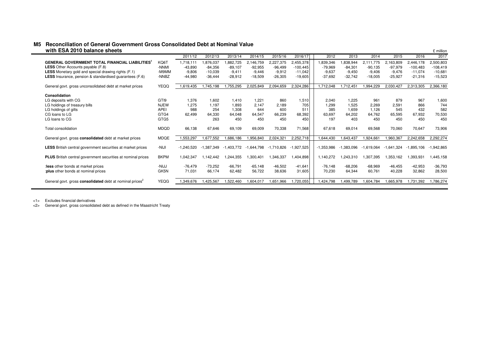#### **M5** Reconciliation of General Government Gross Consolidated Debt at Nominal Value *with ESA 2010 balance sheets*  $\frac{1}{2}$  million

|                                                                      |             | 2011/12      | 2012/13    | 2013/14      | 2014/15      | 2015/16    | 2016/17      | 2012         | 2013       | 2014         | 2015       | 2016         | 2017             |
|----------------------------------------------------------------------|-------------|--------------|------------|--------------|--------------|------------|--------------|--------------|------------|--------------|------------|--------------|------------------|
| <b>GENERAL GOVERNMENT TOTAL FINANCIAL LIABILITIES</b>                | KQ6T        | 1,718,111    | 1,876,037  | .882,725     | 2,146,759    | 2,227,375  | 2,455,378    | 1,839,346    | .838,944   | 2.111.775    | 2,163,809  | 2,446,178    | 2,500,803        |
| <b>LESS</b> Other Accounts payable (F.8)                             | -NNMI       | $-43.890$    | $-84,356$  | $-89.107$    | $-92.955$    | $-96.499$  | $-100.445$   | $-79.969$    | $-84,301$  | $-90,135$    | $-97,979$  | $-100,483$   | $-108,419$       |
| <b>LESS</b> Monetary gold and special drawing rights (F.1)           | -M9MM       | $-9,806$     | $-10,039$  | $-9.411$     | $-9.446$     | $-9,912$   | $-11.042$    | $-9,637$     | $-9,450$   | $-9,406$     | $-9,476$   | $-11,074$    | $-10,681$        |
| <b>LESS</b> Insurance, pension & standardised quarantees (F.6)       | -NNBZ       | $-44.980$    | $-36.444$  | $-28,912$    | $-18,509$    | $-26,305$  | $-19,605$    | $-37.692$    | $-32.742$  | $-18,005$    | $-25,927$  | $-21,316$    | $-15,523$        |
|                                                                      |             |              |            |              |              |            |              |              |            |              |            |              |                  |
| General govt. gross unconsolidated debt at market prices             | <b>YEQQ</b> | 1,619,435    | ,745,198   | ,755,295     | 2,025,849    | 2,094,659  | 2,324,286    | 1,712,048    | .712,45    | ,994,229     | 2,030,427  | 2.313.305    | 2,366,180        |
|                                                                      |             |              |            |              |              |            |              |              |            |              |            |              |                  |
| Consolidation                                                        |             |              |            |              |              |            |              |              |            |              |            |              |                  |
| LG deposits with CG                                                  | GTI9        | 1,376        | 1,602      | 1.410        | 1.221        | 860        | 1,510        | 2.040        | 1.225      | 961          | 879        | 967          | 1,600            |
| LG holdings of treasury bills                                        | <b>NJEW</b> | 1.275        | 1,197      | 1,893        | 2,147        | 2,189      | 705          | 1,299        | 1,525      | 2,269        | 2,591      | 866          | 744              |
| LG holdings of gilts                                                 | <b>APEI</b> | 988          | 254        | 1,308        | 644          | 600        | 511          | 385          | 1,659      | 1,126        | 545        | 432          | 582              |
| CG loans to LG                                                       | GTG4        | 62,499       | 64,330     | 64,048       | 64,547       | 66,239     | 68,392       | 63,697       | 64,202     | 64,762       | 65,595     | 67,932       | 70,530           |
| LG loans to CG                                                       | GTG5        |              | 263        | 450          | 450          | 450        | 450          | 197          | 403        | 450          | 450        | 450          | 450              |
| Total consolidation                                                  | MDQD        | 66.138       | 67,646     | 69,109       | 69,009       | 70,338     | 71,568       | 67,618       | 69,014     | 69,568       | 70,060     | 70,647       | 73,906           |
|                                                                      |             |              |            |              |              |            |              |              |            |              |            |              |                  |
| General govt. gross consolidated debt at market prices               | MDQE        | 1,553,297    | 1,677,552  | ,686,186     | 956,840      | 2,024,321  | 2,252,718    | .644,430     | .643,437   | ,924,661     | ,960,367   | 2,242,658    | 2,292,274        |
|                                                                      |             |              |            |              |              |            |              |              |            |              |            |              |                  |
| <b>LESS</b> British central government securities at market prices   | -NIJI       | $-1.240.520$ | -1.387.349 | $-1.403.772$ | $-1.644.798$ | -1.710.826 | $-1,927,525$ | $-1.353.986$ | -1.383.096 | $-1,619,064$ | -1,641,324 | $-1.895.106$ | 942,865. ا<br>-1 |
| <b>PLUS</b> British central government securities at nominal prices  | <b>BKPM</b> | 1.042.347    | 1.142.442  | 1.244.355    | 1.300.401    | .346.337   | 1.404.898    | 1.140.272    | .243.310   | .307.395     | 1.353.162  | .393.931     | .445.158         |
|                                                                      |             |              |            |              |              |            |              |              |            |              |            |              |                  |
| less other bonds at market prices                                    | -NIJJ       | $-76.479$    | $-73,252$  | $-66.791$    | $-65, 148$   | $-46,502$  | $-41,641$    | $-76,148$    | $-68,206$  | $-68,969$    | $-46,455$  | $-42,953$    | $-36,793$        |
| :plus other bonds at nominal prices                                  | GK5N        | 71,031       | 66,174     | 62,482       | 56,722       | 38,636     | 31,605       | 70,230       | 64,344     | 60,761       | 40,228     | 32,862       | 28,500           |
|                                                                      |             |              |            |              |              |            |              |              |            |              |            |              |                  |
| General govt. gross consolidated debt at nominal prices <sup>2</sup> | YEQG        | 1,349,676    | .425,567   | 1,522,460    | 1,604,017    | .651,966   | ,720,055     | 424,798      | .499.789   | .604,784     | .665,978   | 1,731,392    | 1,786,274        |
|                                                                      |             |              |            |              |              |            |              |              |            |              |            |              |                  |

<1> Excludes financial derivatives

<2> General govt. gross consolidated debt as defined in the Maastricht Treaty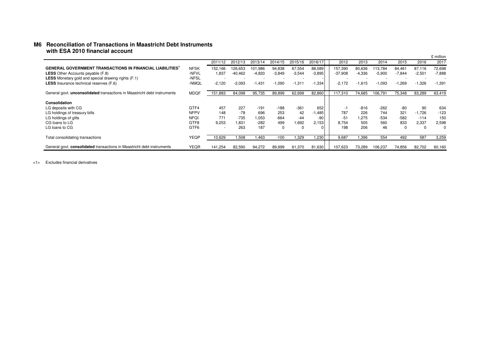#### **M6** Reconciliation of Transactions in Maastricht Debt Instruments  **with ESA 2010 financial account**

|                                                                                 |                  |                          |                          |          |          |          |          |                          |                          |          |          |          | £ million |
|---------------------------------------------------------------------------------|------------------|--------------------------|--------------------------|----------|----------|----------|----------|--------------------------|--------------------------|----------|----------|----------|-----------|
|                                                                                 |                  | 2011/12                  | 2012/13                  | 2013/14  | 2014/15  | 2015/16  | 2016/17  | 2012                     | 2013                     | 2014     | 2015     | 2016     | 2017      |
| <b>GENERAL GOVERNMENT TRANSACTIONS IN FINANCIAL LIABILITIES'</b>                | <b>NFSK</b>      | 152,166                  | 126,653                  | 101,986  | 94,838   | 67,554   | 88,089   | 157,390                  | 80,636                   | 113.784  | 84,461   | 87.116   | 72,698    |
| <b>LESS</b> Other Accounts payable (F.8)                                        | -NFVL            | 1,837                    | $-40,462$                | $-4,820$ | $-3,849$ | $-3,544$ | $-3,895$ | $-37,908$                | $-4,336$                 | $-5,900$ | $-7,844$ | $-2,501$ | $-7,888$  |
| <b>LESS</b> Monetary gold and special drawing rights (F.1)                      | -NFSL            | $\sim$                   | $\overline{\phantom{a}}$ |          |          | $\sim$   |          | $\overline{\phantom{a}}$ | $\overline{\phantom{a}}$ |          |          |          |           |
| <b>LESS</b> Insurance technical reserves (F.6)                                  | -NMQL            | $-2,120$                 | $-2,093$                 | $-1,431$ | $-1,090$ | $-1,311$ | $-1,334$ | $-2.172$                 | $-1.615$                 | $-1,093$ | $-1,269$ | $-1,326$ | $-1,391$  |
| General govt. <b>unconsolidated</b> transactions in Maastricht debt instruments | <b>MDQF</b>      | 151,883                  | 84,098                   | 95,735   | 89,899   | 62,699   | 82,860   | 117,310                  | 74.685                   | 106,791  | 75,348   | 83,289   | 63,419    |
|                                                                                 |                  |                          |                          |          |          |          |          |                          |                          |          |          |          |           |
| Consolidation                                                                   |                  |                          |                          |          |          |          |          |                          |                          |          |          |          |           |
| LG deposits with CG                                                             | GTF4             | 457                      | 227                      | $-191$   | $-188$   | $-361$   | 652      | -1                       | $-816$                   | $-262$   | -80      | 90       | 634       |
| LG holdings of treasury bills                                                   | <b>NFPV</b>      | 148                      | -78                      | 696      | 253      | 42       | .485     | 787                      | 226                      | 744      | 321      | $-1,726$ | $-123$    |
| LG holdings of gilts                                                            | <b>NFQI</b>      | 771                      | $-735$                   | 1,053    | $-664$   | $-44$    | -90      | $-51$                    | 1.275                    | $-534$   | $-582$   | $-114$   | 150       |
| CG loans to LG                                                                  | GTF8             | 9,253                    | 1.831                    | $-282$   | 499      | 1,692    | 2,153    | 8,754                    | 505                      | 560      | 833      | 2,337    | 2,598     |
| LG loans to CG                                                                  | GTF <sub>6</sub> | $\overline{\phantom{a}}$ | 263                      | 187      | 0        |          |          | 198                      | 206                      | 46       | $\Omega$ | -0       | $\Omega$  |
| Total consolidating transactions                                                | YEQP             | 10,629                   | 1,508                    | 1.463    | $-100$   | .329     | .230     | 9,687                    | 1.396                    | 554      | 492      | 587      | 3,259     |
| General govt. consolidated transactions in Maastricht debt instruments          | <b>YEQR</b>      | 141.254                  | 82,590                   | 94.272   | 89.999   | 61.370   | 81.630   | 107.623                  | 73.289                   | 106.237  | 74.856   | 82.702   | 60,160    |

<1> Excludes financial derivatives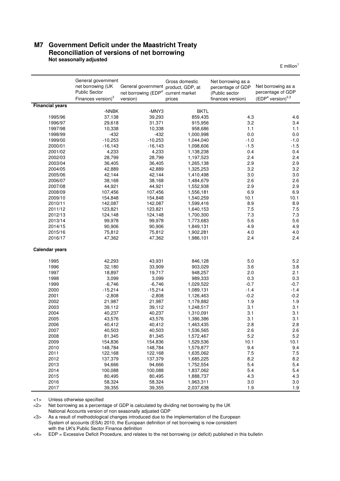#### **M7 Government Deficit under the Maastricht Treaty Reconciliation of versions of net borrowing Not seasonally adjusted**

 $E$  million<sup>1</sup>

|                        | General government<br>net borrowing (UK<br><b>Public Sector</b><br>Finances version) <sup>3</sup> | General government product, GDP, at<br>net borrowing (EDP <sup>4</sup><br>version) | Gross domestic<br>current market<br>prices | Net borrowing as a<br>percentage of GDP<br>(Public sector<br>finances version) | Net borrowing as a<br>percentage of GDP<br>$(EDP4 version)2,3$ |
|------------------------|---------------------------------------------------------------------------------------------------|------------------------------------------------------------------------------------|--------------------------------------------|--------------------------------------------------------------------------------|----------------------------------------------------------------|
| <b>Financial years</b> |                                                                                                   |                                                                                    |                                            |                                                                                |                                                                |
|                        | -NNBK                                                                                             | -MNY3                                                                              | <b>BKTL</b>                                |                                                                                |                                                                |
| 1995/96                | 37,138                                                                                            | 39,293                                                                             | 859,435                                    | 4.3                                                                            | 4.6                                                            |
| 1996/97                | 29,618                                                                                            | 31,371                                                                             | 915,956                                    | 3.2                                                                            | 3.4                                                            |
| 1997/98                | 10,338                                                                                            | 10,338                                                                             | 958,686                                    | 1.1                                                                            | 1.1                                                            |
| 1998/99                | $-432$                                                                                            | $-432$                                                                             | 1,000,998                                  | 0.0                                                                            | 0.0                                                            |
| 1999/00                | $-10,253$                                                                                         | $-10,253$                                                                          | 1,044,040                                  | $-1.0$                                                                         | $-1.0$                                                         |
| 2000/01                | $-16, 143$                                                                                        | $-16, 143$                                                                         | 1,098,606                                  | $-1.5$                                                                         | $-1.5$                                                         |
| 2001/02                | 4,233                                                                                             | 4,233                                                                              | 1,138,238                                  | 0.4                                                                            | 0.4                                                            |
| 2002/03                | 28,799                                                                                            | 28,799                                                                             | 1,197,523                                  | 2.4                                                                            | 2.4                                                            |
| 2003/04                | 36,405                                                                                            | 36,405                                                                             | 1,265,138                                  | 2.9                                                                            | 2.9                                                            |
| 2004/05<br>2005/06     | 42,889                                                                                            | 42,889                                                                             | 1,325,253                                  | 3.2<br>3.0                                                                     | 3.2<br>3.0                                                     |
| 2006/07                | 42,144<br>38,168                                                                                  | 42,144<br>38,168                                                                   | 1,410,498<br>1,484,679                     | 2.6                                                                            | 2.6                                                            |
| 2007/08                | 44,921                                                                                            | 44,921                                                                             | 1,552,938                                  | 2.9                                                                            | 2.9                                                            |
| 2008/09                | 107,456                                                                                           | 107,456                                                                            | 1,556,181                                  | 6.9                                                                            | 6.9                                                            |
| 2009/10                | 154,848                                                                                           | 154,848                                                                            | 1,540,259                                  | 10.1                                                                           | 10.1                                                           |
| 2010/11                | 142,087                                                                                           | 142,087                                                                            | 1,599,416                                  | 8.9                                                                            | 8.9                                                            |
| 2011/12                | 123,821                                                                                           | 123,821                                                                            | 1,640,153                                  | 7.5                                                                            | 7.5                                                            |
| 2012/13                | 124,148                                                                                           | 124,148                                                                            | 1,700,300                                  | 7.3                                                                            | 7.3                                                            |
| 2013/14                | 99,978                                                                                            | 99,978                                                                             | 1,773,683                                  | 5.6                                                                            | 5.6                                                            |
| 2014/15                | 90,906                                                                                            | 90,906                                                                             | 1,849,131                                  | 4.9                                                                            | 4.9                                                            |
| 2015/16                | 75,812                                                                                            | 75,812                                                                             | 1,902,281                                  | 4.0                                                                            | 4.0                                                            |
| 2016/17                | 47,362                                                                                            | 47,362                                                                             | 1,986,101                                  | 2.4                                                                            | 2.4                                                            |
| <b>Calendar years</b>  |                                                                                                   |                                                                                    |                                            |                                                                                |                                                                |
|                        |                                                                                                   |                                                                                    |                                            |                                                                                |                                                                |
| 1995                   | 42,293                                                                                            | 43,931                                                                             | 846,128                                    | 5.0                                                                            | 5.2                                                            |
| 1996                   | 32,180                                                                                            | 33,909                                                                             | 903,029                                    | 3.6                                                                            | 3.8                                                            |
| 1997                   | 18,897                                                                                            | 19,717                                                                             | 948,257                                    | 2.0                                                                            | 2.1                                                            |
| 1998                   | 3,099                                                                                             | 3,099                                                                              | 989,333                                    | 0.3                                                                            | 0.3                                                            |
| 1999                   | $-6,746$                                                                                          | $-6,746$                                                                           | 1,029,522                                  | $-0.7$<br>$-1.4$                                                               | $-0.7$<br>$-1.4$                                               |
| 2000                   | $-15,214$                                                                                         | $-15,214$                                                                          | 1,089,131                                  |                                                                                |                                                                |
| 2001<br>2002           | $-2,808$<br>21,987                                                                                | $-2,808$<br>21,987                                                                 | 1,126,463                                  | $-0.2$<br>1.9                                                                  | $-0.2$<br>1.9                                                  |
| 2003                   | 39,112                                                                                            | 39,112                                                                             | 1,179,882<br>1,248,517                     | 3.1                                                                            | 3.1                                                            |
| 2004                   | 40,237                                                                                            | 40,237                                                                             | 1,310,091                                  | 3.1                                                                            | 3.1                                                            |
| 2005                   | 43,576                                                                                            | 43,576                                                                             | 1,386,386                                  | 3.1                                                                            | 3.1                                                            |
| 2006                   | 40,412                                                                                            | 40,412                                                                             | 1,463,435                                  | 2.8                                                                            | 2.8                                                            |
| 2007                   | 40,503                                                                                            | 40,503                                                                             | 1,536,565                                  | 2.6                                                                            | 2.6                                                            |
| 2008                   | 81,345                                                                                            | 81,345                                                                             | 1,572,467                                  | 5.2                                                                            | 5.2                                                            |
| 2009                   | 154,836                                                                                           | 154,836                                                                            | 1,529,536                                  | 10.1                                                                           | 10.1                                                           |
| 2010                   | 148,784                                                                                           | 148,784                                                                            | 1,579,877                                  | 9.4                                                                            | 9.4                                                            |
| 2011                   | 122,168                                                                                           | 122,168                                                                            | 1,635,062                                  | 7.5                                                                            | $7.5\,$                                                        |
| 2012                   | 137,379                                                                                           | 137,379                                                                            | 1,685,225                                  | 8.2                                                                            | 8.2                                                            |
| 2013                   | 94,666                                                                                            | 94,666                                                                             | 1,752,554                                  | 5.4                                                                            | $5.4$                                                          |
| 2014                   | 100,088                                                                                           | 100,088                                                                            | 1,837,062                                  | 5.4                                                                            | 5.4                                                            |
| 2015                   | 80,495                                                                                            | 80,495                                                                             | 1,888,737                                  | 4.3                                                                            | 4.3                                                            |
| 2016                   | 58,324                                                                                            | 58,324                                                                             | 1,963,311                                  | 3.0                                                                            | $3.0\,$                                                        |
| 2017                   | 39,355                                                                                            | 39,355                                                                             | 2,037,638                                  | 1.9                                                                            | 1.9                                                            |

<1> Unless otherwise specified

<2> Net borrowing as a percentage of GDP is calculated by dividing net borrowing by the UK

National Accounts version of non seasonally adjusted GDP

 <3> As a result of methodological changes introduced due to the implementation of the European System of accounts (ESA) 2010, the European definition of net borrowing is now consistent with the UK's Public Sector Finance definition

<4> EDP = Excessive Deficit Procedure, and relates to the net borrowing (or deficit) published in this bulletin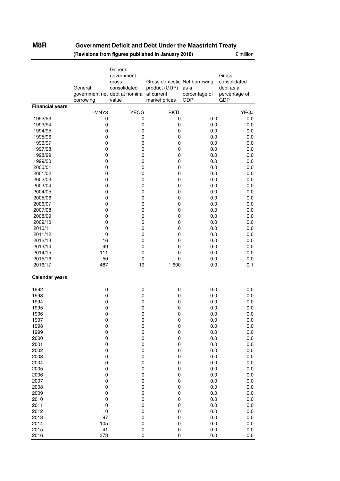### M8R

### **M8R Government Deficit and Debt Under the Maastricht Treaty**

**(Revisions from figures published in January 2018)** £ million

|                        | General<br>borrowing     | General<br>government<br>gross<br>consolidated<br>government net debt at nominal at current<br>value | Gross domestic Net borrowing<br>product (GDP)<br>market prices | as a<br>percentage of<br>GDP | Gross<br>consolidated<br>debt as a<br>percentage of<br>GDP |
|------------------------|--------------------------|------------------------------------------------------------------------------------------------------|----------------------------------------------------------------|------------------------------|------------------------------------------------------------|
| <b>Financial years</b> | -MNY3                    | <b>YEQG</b>                                                                                          | <b>BKTL</b>                                                    |                              | YEQJ                                                       |
| 1992/93                | 0                        | 0                                                                                                    | 0                                                              | 0.0                          | 0.0                                                        |
| 1993/94                | 0                        | $\pmb{0}$                                                                                            | 0                                                              | 0.0                          | 0.0                                                        |
| 1994/95                | $\pmb{0}$                | $\pmb{0}$                                                                                            | $\pmb{0}$                                                      | 0.0                          | 0.0                                                        |
| 1995/96                | 0                        | $\pmb{0}$                                                                                            | 0                                                              | 0.0                          | 0.0                                                        |
| 1996/97                | $\pmb{0}$                | $\pmb{0}$                                                                                            | 0                                                              | 0.0                          | 0.0                                                        |
| 1997/98                | $\pmb{0}$                | $\pmb{0}$                                                                                            | 0                                                              | 0.0                          | 0.0                                                        |
| 1998/99<br>1999/00     | $\mathbf 0$<br>$\pmb{0}$ | $\pmb{0}$<br>$\pmb{0}$                                                                               | 0<br>0                                                         | 0.0<br>0.0                   | 0.0<br>0.0                                                 |
| 2000/01                | 0                        | $\pmb{0}$                                                                                            | 0                                                              | 0.0                          | 0.0                                                        |
| 2001/02                | $\pmb{0}$                | $\pmb{0}$                                                                                            | $\pmb{0}$                                                      | 0.0                          | 0.0                                                        |
| 2002/03                | 0                        | 0                                                                                                    | 0                                                              | 0.0                          | 0.0                                                        |
| 2003/04                | $\pmb{0}$                | $\pmb{0}$                                                                                            | $\pmb{0}$                                                      | 0.0                          | 0.0                                                        |
| 2004/05                | 0                        | $\pmb{0}$                                                                                            | 0                                                              | 0.0                          | 0.0                                                        |
| 2005/06<br>2006/07     | $\pmb{0}$<br>$\pmb{0}$   | $\pmb{0}$<br>$\pmb{0}$                                                                               | 0<br>0                                                         | 0.0<br>0.0                   | 0.0<br>0.0                                                 |
| 2007/08                | $\mathbf 0$              | $\pmb{0}$                                                                                            | 0                                                              | 0.0                          | 0.0                                                        |
| 2008/09                | $\pmb{0}$                | $\pmb{0}$                                                                                            | 0                                                              | 0.0                          | 0.0                                                        |
| 2009/10                | 0                        | $\pmb{0}$                                                                                            | 0                                                              | 0.0                          | 0.0                                                        |
| 2010/11                | $\mathbf 0$              | $\pmb{0}$                                                                                            | 0                                                              | 0.0                          | 0.0                                                        |
| 2011/12                | $\mathbf 0$              | $\pmb{0}$                                                                                            | 0                                                              | 0.0                          | 0.0                                                        |
| 2012/13                | 16                       | $\pmb{0}$                                                                                            | 0                                                              | 0.0                          | 0.0                                                        |
| 2013/14<br>2014/15     | 99<br>111                | $\pmb{0}$<br>$\pmb{0}$                                                                               | $\pmb{0}$<br>0                                                 | 0.0<br>0.0                   | 0.0                                                        |
| 2015/16                | $-50$                    | $\pmb{0}$                                                                                            | 0                                                              | 0.0                          | 0.0<br>0.0                                                 |
| 2016/17                | 487                      | 19                                                                                                   | 1,600                                                          | 0.0                          | $-0.1$                                                     |
| <b>Calendar years</b>  |                          |                                                                                                      |                                                                |                              |                                                            |
| 1992                   | 0                        | 0                                                                                                    | 0                                                              | 0.0                          | 0.0                                                        |
| 1993                   | $\pmb{0}$                | $\pmb{0}$                                                                                            | $\pmb{0}$                                                      | 0.0                          | 0.0                                                        |
| 1994                   | $\pmb{0}$                | $\pmb{0}$                                                                                            | 0                                                              | 0.0                          | 0.0                                                        |
| 1995<br>1996           | 0<br>0                   | $\pmb{0}$<br>$\pmb{0}$                                                                               | 0<br>0                                                         | 0.0<br>0.0                   | 0.0<br>0.0                                                 |
| 1997                   | 0                        | $\mathbf 0$                                                                                          | 0                                                              | 0.0                          | 0.0                                                        |
| 1998                   | $\mathbf 0$              | $\pmb{0}$                                                                                            | $\pmb{0}$                                                      | 0.0                          | 0.0                                                        |
| 1999                   | 0                        | $\mathbf 0$                                                                                          | 0                                                              | 0.0                          | 0.0                                                        |
| 2000                   | $\mathbf 0$              | $\pmb{0}$                                                                                            | 0                                                              | 0.0                          | 0.0                                                        |
| 2001                   | $\pmb{0}$                | $\pmb{0}$                                                                                            | 0                                                              | 0.0                          | 0.0                                                        |
| 2002<br>2003           | $\pmb{0}$<br>$\mathbf 0$ | $\pmb{0}$<br>0                                                                                       | $\pmb{0}$<br>0                                                 | 0.0<br>0.0                   | 0.0<br>0.0                                                 |
| 2004                   | 0                        | $\mathbf 0$                                                                                          | 0                                                              | 0.0                          | 0.0                                                        |
| 2005                   | $\pmb{0}$                | 0                                                                                                    | 0                                                              | 0.0                          | 0.0                                                        |
| 2006                   | $\pmb{0}$                | 0                                                                                                    | 0                                                              | 0.0                          | 0.0                                                        |
| 2007                   | $\pmb{0}$                | $\pmb{0}$                                                                                            | 0                                                              | 0.0                          | 0.0                                                        |
| 2008                   | 0                        | $\mathbf 0$                                                                                          | 0                                                              | 0.0                          | 0.0                                                        |
| 2009                   | 0                        | $\pmb{0}$                                                                                            | 0                                                              | 0.0                          | 0.0                                                        |
| 2010<br>2011           | $\pmb{0}$<br>$\pmb{0}$   | $\pmb{0}$<br>$\pmb{0}$                                                                               | 0<br>0                                                         | 0.0<br>0.0                   | 0.0<br>0.0                                                 |
| 2012                   | $\mathbf 0$              | $\pmb{0}$                                                                                            | 0                                                              | 0.0                          | 0.0                                                        |
| 2013                   | 97                       | $\pmb{0}$                                                                                            | 0                                                              | 0.0                          | 0.0                                                        |
| 2014                   | 105                      | $\mathbf 0$                                                                                          | 0                                                              | 0.0                          | 0.0                                                        |
| 2015                   | $-41$                    | $\pmb{0}$                                                                                            | 0                                                              | 0.0                          | 0.0                                                        |
| 2016                   | 373                      | 0                                                                                                    | 0                                                              | 0.0                          | 0.0                                                        |